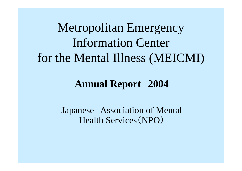Metropolitan Emergency Information Center for the Mental Illness (MEICMI)

#### **Annual Report 2004**

Japanese Association of Mental Health Services (NPO )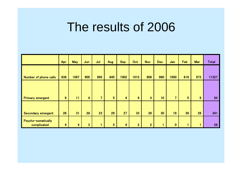# The results of 2006

|                                   | Apr | <b>May</b> | Jun                     | Jul            | <b>Aug</b>     | <b>Sep</b> | Oct            | <b>Nov</b>              | <b>Dec</b>      | Jan            | Feb            | <b>Mar</b> | <b>Total</b> |
|-----------------------------------|-----|------------|-------------------------|----------------|----------------|------------|----------------|-------------------------|-----------------|----------------|----------------|------------|--------------|
| <b>Number of phone calls</b>      | 838 | 1067       | 900                     | 985            | 845            | 1002       | 1015           | 906                     | 980             | 1000           | 816            | 973        | 11327        |
| <b>Primary emergent</b>           | 9   | 11         | $\overline{\mathbf{4}}$ | 7 <sup>1</sup> | 5 <sup>5</sup> | 4          | 9              | $\overline{\mathbf{4}}$ | 10 <sub>1</sub> | $\overline{7}$ | $5\phantom{.}$ | 9          | 84           |
|                                   |     |            |                         |                |                |            |                |                         |                 |                |                |            |              |
| Secondary emergent                | 26  | 31         | 28                      | 23             | 29             | 27         | 33             | 28                      | 30              | 19             | 39             | 28         | 341          |
| Psycho-somatically<br>complicated | 4   | 4          | $\overline{3}$          | 4              | $5\phantom{.}$ | 4          | 2 <sup>1</sup> | 2 <sup>2</sup>          |                 | $\bf{0}$       |                | ۴          | 28           |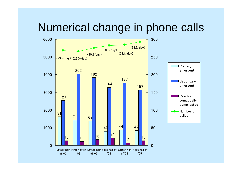#### Numerical change in phone calls

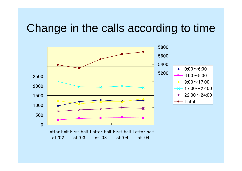#### Change in the calls according to time

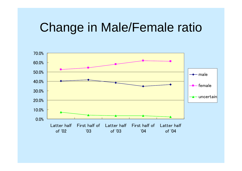# Change in Male/Female ratio

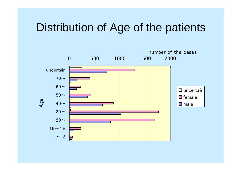#### Distribution of Age of the patients

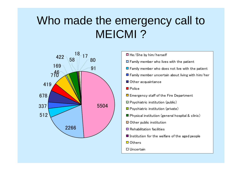## Who made the emergency call to MEICMI ?



| $\blacksquare$ He/She by him/herself                             |  |  |  |  |  |  |  |  |
|------------------------------------------------------------------|--|--|--|--|--|--|--|--|
| $\Box$ Family member who lives with the patient                  |  |  |  |  |  |  |  |  |
| $\blacksquare$ Family member who does not live with the patient  |  |  |  |  |  |  |  |  |
| $\blacksquare$ Family member uncertain about living with him/her |  |  |  |  |  |  |  |  |
| ■ Other acquaintance                                             |  |  |  |  |  |  |  |  |
| $\blacksquare$ Police                                            |  |  |  |  |  |  |  |  |
| $\Box$ Emergency staff of the Fire Department                    |  |  |  |  |  |  |  |  |
| $\Box$ Psychiatric institution (public)                          |  |  |  |  |  |  |  |  |
| $\blacksquare$ Psychiatric institution (private)                 |  |  |  |  |  |  |  |  |
| $\blacksquare$ Physical institution (general hospital & clinic)  |  |  |  |  |  |  |  |  |
| $\blacksquare$ Other public institution                          |  |  |  |  |  |  |  |  |
| $\blacksquare$ Rehabilitation facilities                         |  |  |  |  |  |  |  |  |
| $\blacksquare$ Institution for the welfare of the aged people    |  |  |  |  |  |  |  |  |
| <b>□</b> Others                                                  |  |  |  |  |  |  |  |  |
| ⊔ Uncertain                                                      |  |  |  |  |  |  |  |  |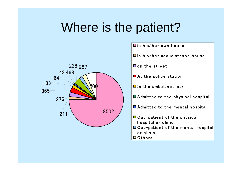# Where is the patient?



in his/her own house

 $\Box$  in his/her acquaintance house

**O** on the street

- At the police station
- $\Box$  In the ambulance car
- Admitted to the physical hospital
- Admitted to the mental hospital
- **O** Out-patient of the physical hospital or clinic
- Out-patient of the mental hospital or clinic
- **□ Others**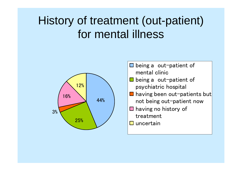## History of treatment (out-patient) for mental illness



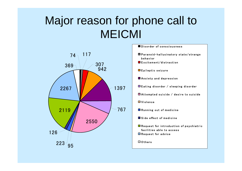## Major reason for phone call to MEICMI



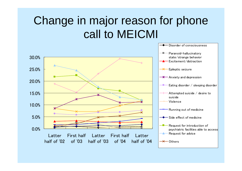#### Change in major reason for phone call to MEICMI

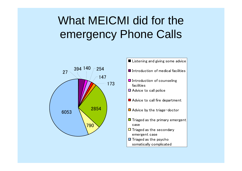# What MEICMI did for the emergency Phone Calls



- Listening and giving some advice
- $\blacksquare$  Introduction of medical facilities
- $\blacksquare$  Introduction of counseling facilities
- Advice to call police
- Advice to call fire department
- $\Box$  Advice by the triage-doctor
- $\blacksquare$  Triaged as the primary emergent case
- $\Box$  Triaged as the secondary emergent case
- $\Box$  Triaged as the psycho somatically complicated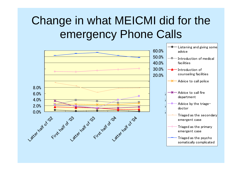## Change in what MEICMI did for the emergency Phone Calls

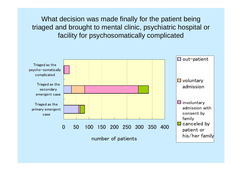What decision was made finally for the patient being triaged and brought to mental clinic, psychiatric hospital or facility for psychosomatically complicated

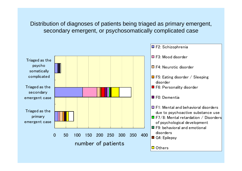Distribution of diagnoses of patients being triaged as primary emergent, secondary emergent, or psychosomatically complicated case

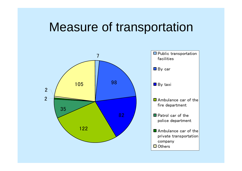# Measure of transportation

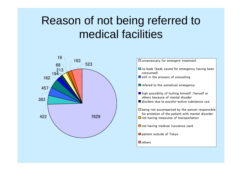## Reason of not being referred to medical facilities